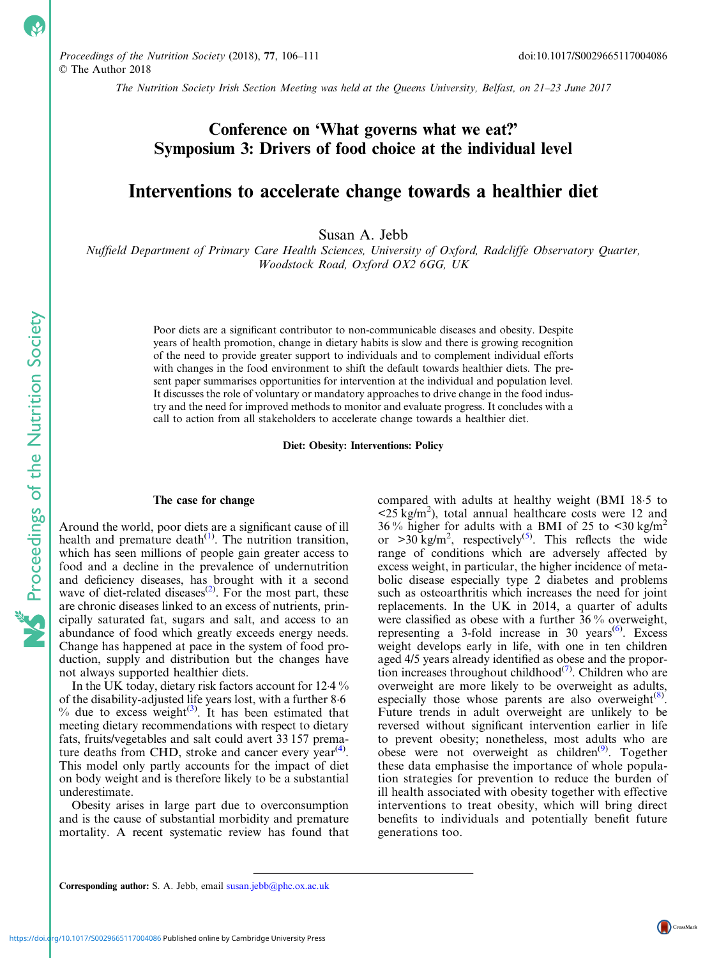Proceedings of the Nutrition Society (2018), 77, 106–111 doi:10.1017/S0029665117004086 © The Author 2018

The Nutrition Society Irish Section Meeting was held at the Queens University, Belfast, on 21–23 June 2017

# Conference on 'What governs what we eat?' Symposium 3: Drivers of food choice at the individual level

# Interventions to accelerate change towards a healthier diet

Susan A. Jebb

Nuffield Department of Primary Care Health Sciences, University of Oxford, Radcliffe Observatory Quarter, Woodstock Road, Oxford OX2 6GG, UK

> Poor diets are a significant contributor to non-communicable diseases and obesity. Despite years of health promotion, change in dietary habits is slow and there is growing recognition of the need to provide greater support to individuals and to complement individual efforts with changes in the food environment to shift the default towards healthier diets. The present paper summarises opportunities for intervention at the individual and population level. It discusses the role of voluntary or mandatory approaches to drive change in the food industry and the need for improved methods to monitor and evaluate progress. It concludes with a call to action from all stakeholders to accelerate change towards a healthier diet.

> > Diet: Obesity: Interventions: Policy

#### The case for change

Around the world, poor diets are a significant cause of ill health and premature death<sup>([1](#page-4-0))</sup>. The nutrition transition, which has seen millions of people gain greater access to food and a decline in the prevalence of undernutrition and deficiency diseases, has brought with it a second wave of diet-related diseases<sup>[\(2](#page-4-0))</sup>. For the most part, these are chronic diseases linked to an excess of nutrients, principally saturated fat, sugars and salt, and access to an abundance of food which greatly exceeds energy needs. Change has happened at pace in the system of food production, supply and distribution but the changes have not always supported healthier diets.

In the UK today, dietary risk factors account for 12·4 % of the disability-adjusted life years lost, with a further 8·6  $%$  due to excess weight<sup>[\(3](#page-4-0))</sup>. It has been estimated that meeting dietary recommendations with respect to dietary fats, fruits/vegetables and salt could avert 33 157 prema-ture deaths from CHD, stroke and cancer every year<sup>[\(4\)](#page-4-0)</sup>. This model only partly accounts for the impact of diet on body weight and is therefore likely to be a substantial underestimate.

Obesity arises in large part due to overconsumption and is the cause of substantial morbidity and premature mortality. A recent systematic review has found that compared with adults at healthy weight (BMI 18·5 to  $\langle 25 \text{ kg/m}^2 \rangle$ , total annual healthcare costs were 12 and 36% higher for adults with a BMI of 25 to  $\leq 30 \text{ kg/m}^2$ or  $>30$  kg/m<sup>2</sup>, respectively<sup>([5\)](#page-4-0)</sup>. This reflects the wide range of conditions which are adversely affected by excess weight, in particular, the higher incidence of metabolic disease especially type 2 diabetes and problems such as osteoarthritis which increases the need for joint replacements. In the UK in 2014, a quarter of adults were classified as obese with a further  $36\%$  overweight, representing a 3-fold increase in 30 years<sup>([6](#page-4-0))</sup>. Excess weight develops early in life, with one in ten children aged 4/5 years already identified as obese and the propor-tion increases throughout childhood<sup>([7\)](#page-4-0)</sup>. Children who are overweight are more likely to be overweight as adults, especially those whose parents are also overweight $(8)$ . Future trends in adult overweight are unlikely to be reversed without significant intervention earlier in life to prevent obesity; nonetheless, most adults who are obese were not overweight as children<sup>([9](#page-4-0))</sup>. Together these data emphasise the importance of whole population strategies for prevention to reduce the burden of ill health associated with obesity together with effective interventions to treat obesity, which will bring direct benefits to individuals and potentially benefit future generations too.

<https://doi.org/10.1017/S0029665117004086>Published online by Cambridge University Press



Corresponding author: S. A. Jebb, email [susan.jebb@phc.ox.ac.uk](mailto:susan.jebb@phc.ox.ac.uk)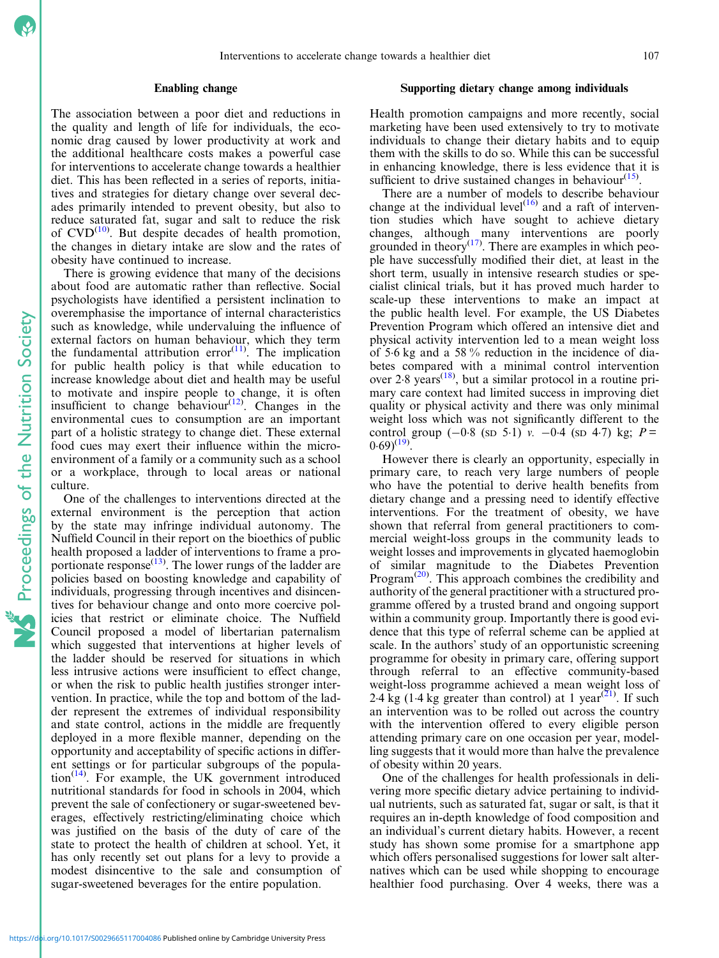#### Enabling change

The association between a poor diet and reductions in the quality and length of life for individuals, the economic drag caused by lower productivity at work and the additional healthcare costs makes a powerful case for interventions to accelerate change towards a healthier diet. This has been reflected in a series of reports, initiatives and strategies for dietary change over several decades primarily intended to prevent obesity, but also to reduce saturated fat, sugar and salt to reduce the risk of  $CVD^{(10)}$  $CVD^{(10)}$  $CVD^{(10)}$ . But despite decades of health promotion, the changes in dietary intake are slow and the rates of obesity have continued to increase.

There is growing evidence that many of the decisions about food are automatic rather than reflective. Social psychologists have identified a persistent inclination to overemphasise the importance of internal characteristics such as knowledge, while undervaluing the influence of external factors on human behaviour, which they term the fundamental attribution error $(11)$ . The implication for public health policy is that while education to increase knowledge about diet and health may be useful to motivate and inspire people to change, it is often insufficient to change behaviour<sup>([12](#page-4-0))</sup>. Changes in the environmental cues to consumption are an important part of a holistic strategy to change diet. These external food cues may exert their influence within the microenvironment of a family or a community such as a school or a workplace, through to local areas or national culture.

One of the challenges to interventions directed at the external environment is the perception that action by the state may infringe individual autonomy. The Nuffield Council in their report on the bioethics of public health proposed a ladder of interventions to frame a pro-portionate response<sup>[\(13\)](#page-4-0)</sup>. The lower rungs of the ladder are policies based on boosting knowledge and capability of individuals, progressing through incentives and disincentives for behaviour change and onto more coercive policies that restrict or eliminate choice. The Nuffield Council proposed a model of libertarian paternalism which suggested that interventions at higher levels of the ladder should be reserved for situations in which less intrusive actions were insufficient to effect change, or when the risk to public health justifies stronger intervention. In practice, while the top and bottom of the ladder represent the extremes of individual responsibility and state control, actions in the middle are frequently deployed in a more flexible manner, depending on the opportunity and acceptability of specific actions in different settings or for particular subgroups of the popula-tion<sup>[\(14\)](#page-4-0)</sup>. For example, the UK government introduced nutritional standards for food in schools in 2004, which prevent the sale of confectionery or sugar-sweetened beverages, effectively restricting/eliminating choice which was justified on the basis of the duty of care of the state to protect the health of children at school. Yet, it has only recently set out plans for a levy to provide a modest disincentive to the sale and consumption of sugar-sweetened beverages for the entire population.

#### Supporting dietary change among individuals

Health promotion campaigns and more recently, social marketing have been used extensively to try to motivate individuals to change their dietary habits and to equip them with the skills to do so. While this can be successful in enhancing knowledge, there is less evidence that it is sufficient to drive sustained changes in behaviour $(15)$ .

There are a number of models to describe behaviour change at the individual level<sup> $(16)$  $(16)$  $(16)$ </sup> and a raft of intervention studies which have sought to achieve dietary changes, although many interventions are poorly grounded in theory $(17)$  $(17)$ . There are examples in which people have successfully modified their diet, at least in the short term, usually in intensive research studies or specialist clinical trials, but it has proved much harder to scale-up these interventions to make an impact at the public health level. For example, the US Diabetes Prevention Program which offered an intensive diet and physical activity intervention led to a mean weight loss of 5·6 kg and a 58 % reduction in the incidence of diabetes compared with a minimal control intervention over 2.8 years<sup>[\(18\)](#page-4-0)</sup>, but a similar protocol in a routine primary care context had limited success in improving diet quality or physical activity and there was only minimal weight loss which was not significantly different to the control group  $(-0.8 \text{ (s}D 5.1) v. -0.4 \text{ (s}D 4.7) \text{ kg}; P =$  $(0.69)^{(19)}$  $(0.69)^{(19)}$  $(0.69)^{(19)}$ .

However there is clearly an opportunity, especially in primary care, to reach very large numbers of people who have the potential to derive health benefits from dietary change and a pressing need to identify effective interventions. For the treatment of obesity, we have shown that referral from general practitioners to commercial weight-loss groups in the community leads to weight losses and improvements in glycated haemoglobin of similar magnitude to the Diabetes Prevention Program<sup>([20](#page-4-0))</sup>. This approach combines the credibility and authority of the general practitioner with a structured programme offered by a trusted brand and ongoing support within a community group. Importantly there is good evidence that this type of referral scheme can be applied at scale. In the authors' study of an opportunistic screening programme for obesity in primary care, offering support through referral to an effective community-based weight-loss programme achieved a mean weight loss of 2.4 kg (1.4 kg greater than control) at 1 year<sup>([21](#page-4-0))</sup>. If such an intervention was to be rolled out across the country with the intervention offered to every eligible person attending primary care on one occasion per year, modelling suggests that it would more than halve the prevalence of obesity within 20 years.

One of the challenges for health professionals in delivering more specific dietary advice pertaining to individual nutrients, such as saturated fat, sugar or salt, is that it requires an in-depth knowledge of food composition and an individual's current dietary habits. However, a recent study has shown some promise for a smartphone app which offers personalised suggestions for lower salt alternatives which can be used while shopping to encourage healthier food purchasing. Over 4 weeks, there was a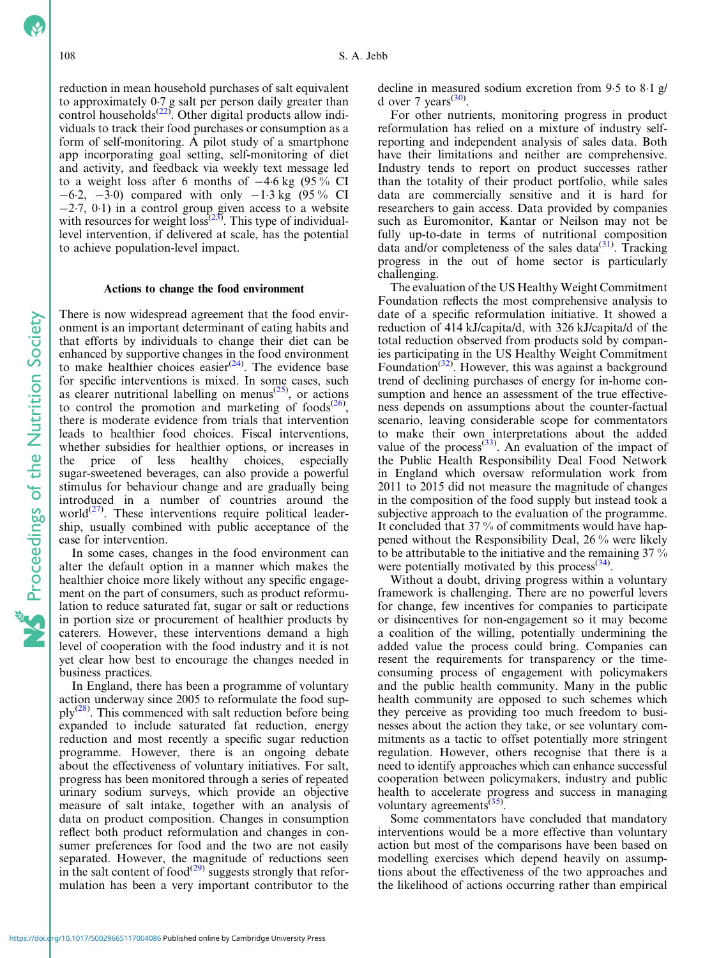reduction in mean household purchases of salt equivalent to approximately 0·7 g salt per person daily greater than control households $^{(22)}$  $^{(22)}$  $^{(22)}$ . Other digital products allow individuals to track their food purchases or consumption as a form of self-monitoring. A pilot study of a smartphone app incorporating goal setting, self-monitoring of diet and activity, and feedback via weekly text message led to a weight loss after 6 months of  $-4.6$  kg (95 % CI −6·2, −3·0) compared with only −1·3 kg (95 % CI −2·7, 0·1) in a control group given access to a website with resources for weight  $loss^{(23)}$  $loss^{(23)}$  $loss^{(23)}$ . This type of individuallevel intervention, if delivered at scale, has the potential to achieve population-level impact.

#### Actions to change the food environment

There is now widespread agreement that the food environment is an important determinant of eating habits and that efforts by individuals to change their diet can be enhanced by supportive changes in the food environment to make healthier choices easier $(24)$ . The evidence base for specific interventions is mixed. In some cases, such as clearer nutritional labelling on menus<sup> $(25)$  $(25)$  $(25)$ </sup>, or actions to control the promotion and marketing of foods $(26)$ , there is moderate evidence from trials that intervention leads to healthier food choices. Fiscal interventions, whether subsidies for healthier options, or increases in the price of less healthy choices, especially sugar-sweetened beverages, can also provide a powerful stimulus for behaviour change and are gradually being introduced in a number of countries around the world $(27)$  $(27)$  $(27)$ . These interventions require political leadership, usually combined with public acceptance of the case for intervention.

In some cases, changes in the food environment can alter the default option in a manner which makes the healthier choice more likely without any specific engagement on the part of consumers, such as product reformulation to reduce saturated fat, sugar or salt or reductions in portion size or procurement of healthier products by caterers. However, these interventions demand a high level of cooperation with the food industry and it is not yet clear how best to encourage the changes needed in business practices.

In England, there has been a programme of voluntary action underway since 2005 to reformulate the food sup- $\text{ply}^{(28)}$  $\text{ply}^{(28)}$  $\text{ply}^{(28)}$ . This commenced with salt reduction before being expanded to include saturated fat reduction, energy reduction and most recently a specific sugar reduction programme. However, there is an ongoing debate about the effectiveness of voluntary initiatives. For salt, progress has been monitored through a series of repeated urinary sodium surveys, which provide an objective measure of salt intake, together with an analysis of data on product composition. Changes in consumption reflect both product reformulation and changes in consumer preferences for food and the two are not easily separated. However, the magnitude of reductions seen in the salt content of food $^{(29)}$  $^{(29)}$  $^{(29)}$  suggests strongly that reformulation has been a very important contributor to the

decline in measured sodium excretion from 9·5 to 8·1 g/ d over 7 years<sup>[\(30\)](#page-5-0)</sup>.

For other nutrients, monitoring progress in product reformulation has relied on a mixture of industry selfreporting and independent analysis of sales data. Both have their limitations and neither are comprehensive. Industry tends to report on product successes rather than the totality of their product portfolio, while sales data are commercially sensitive and it is hard for researchers to gain access. Data provided by companies such as Euromonitor, Kantar or Neilson may not be fully up-to-date in terms of nutritional composition data and/or completeness of the sales data<sup>([31](#page-5-0))</sup>. Tracking progress in the out of home sector is particularly challenging.

The evaluation of the US Healthy Weight Commitment Foundation reflects the most comprehensive analysis to date of a specific reformulation initiative. It showed a reduction of 414 kJ/capita/d, with 326 kJ/capita/d of the total reduction observed from products sold by companies participating in the US Healthy Weight Commitment Foundation<sup>[\(32\)](#page-5-0)</sup>. However, this was against a background trend of declining purchases of energy for in-home consumption and hence an assessment of the true effectiveness depends on assumptions about the counter-factual scenario, leaving considerable scope for commentators to make their own interpretations about the added value of the process<sup>([33](#page-5-0))</sup>. An evaluation of the impact of the Public Health Responsibility Deal Food Network in England which oversaw reformulation work from 2011 to 2015 did not measure the magnitude of changes in the composition of the food supply but instead took a subjective approach to the evaluation of the programme. It concluded that 37 % of commitments would have happened without the Responsibility Deal, 26 % were likely to be attributable to the initiative and the remaining 37 % were potentially motivated by this process<sup>([34](#page-5-0))</sup>.

Without a doubt, driving progress within a voluntary framework is challenging. There are no powerful levers for change, few incentives for companies to participate or disincentives for non-engagement so it may become a coalition of the willing, potentially undermining the added value the process could bring. Companies can resent the requirements for transparency or the timeconsuming process of engagement with policymakers and the public health community. Many in the public health community are opposed to such schemes which they perceive as providing too much freedom to businesses about the action they take, or see voluntary commitments as a tactic to offset potentially more stringent regulation. However, others recognise that there is a need to identify approaches which can enhance successful cooperation between policymakers, industry and public health to accelerate progress and success in managing voluntary agreements<sup>([35\)](#page-5-0)</sup>.

Some commentators have concluded that mandatory interventions would be a more effective than voluntary action but most of the comparisons have been based on modelling exercises which depend heavily on assumptions about the effectiveness of the two approaches and the likelihood of actions occurring rather than empirical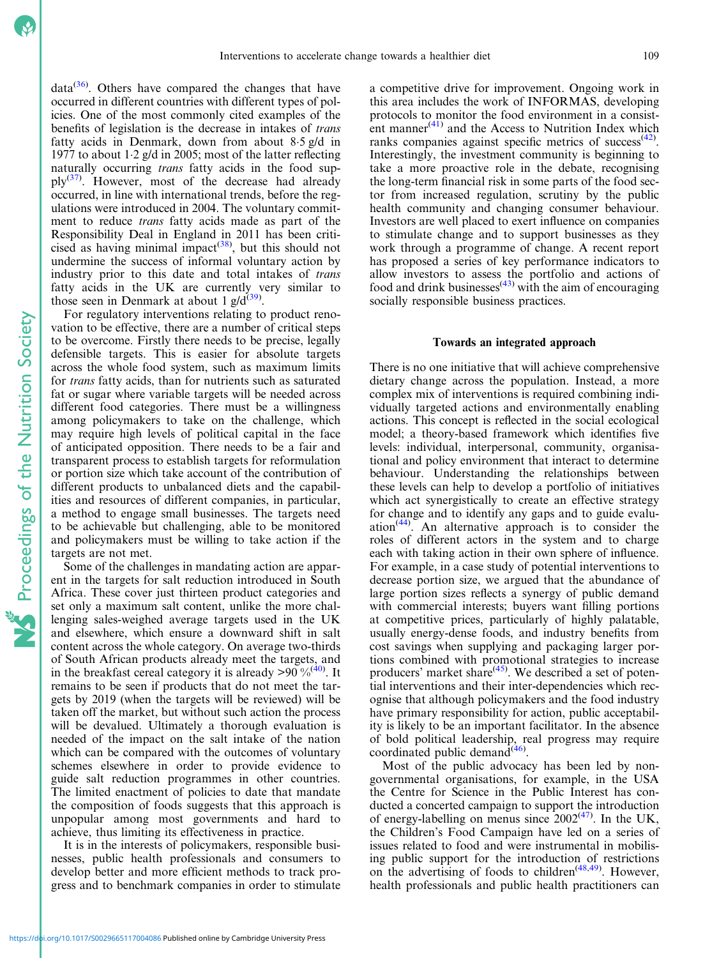data $(36)$ . Others have compared the changes that have occurred in different countries with different types of policies. One of the most commonly cited examples of the benefits of legislation is the decrease in intakes of trans fatty acids in Denmark, down from about 8·5 g/d in 1977 to about 1·2 g/d in 2005; most of the latter reflecting naturally occurring trans fatty acids in the food sup- $\text{ply}^{(37)}$  $\text{ply}^{(37)}$  $\text{ply}^{(37)}$ . However, most of the decrease had already occurred, in line with international trends, before the regulations were introduced in 2004. The voluntary commitment to reduce trans fatty acids made as part of the Responsibility Deal in England in 2011 has been criti-cised as having minimal impact<sup>[\(38\)](#page-5-0)</sup>, but this should not undermine the success of informal voluntary action by industry prior to this date and total intakes of trans fatty acids in the UK are currently very similar to those seen in Denmark at about 1  $g/d^{(39)}$  $g/d^{(39)}$  $g/d^{(39)}$ .

For regulatory interventions relating to product renovation to be effective, there are a number of critical steps to be overcome. Firstly there needs to be precise, legally defensible targets. This is easier for absolute targets across the whole food system, such as maximum limits for trans fatty acids, than for nutrients such as saturated fat or sugar where variable targets will be needed across different food categories. There must be a willingness among policymakers to take on the challenge, which may require high levels of political capital in the face of anticipated opposition. There needs to be a fair and transparent process to establish targets for reformulation or portion size which take account of the contribution of different products to unbalanced diets and the capabilities and resources of different companies, in particular, a method to engage small businesses. The targets need to be achievable but challenging, able to be monitored and policymakers must be willing to take action if the targets are not met.

Some of the challenges in mandating action are apparent in the targets for salt reduction introduced in South Africa. These cover just thirteen product categories and set only a maximum salt content, unlike the more challenging sales-weighed average targets used in the UK and elsewhere, which ensure a downward shift in salt content across the whole category. On average two-thirds of South African products already meet the targets, and in the breakfast cereal category it is already  $>90\frac{6}{40}$  $>90\frac{6}{40}$  $>90\frac{6}{40}$ . It remains to be seen if products that do not meet the targets by 2019 (when the targets will be reviewed) will be taken off the market, but without such action the process will be devalued. Ultimately a thorough evaluation is needed of the impact on the salt intake of the nation which can be compared with the outcomes of voluntary schemes elsewhere in order to provide evidence to guide salt reduction programmes in other countries. The limited enactment of policies to date that mandate the composition of foods suggests that this approach is unpopular among most governments and hard to achieve, thus limiting its effectiveness in practice.

It is in the interests of policymakers, responsible businesses, public health professionals and consumers to develop better and more efficient methods to track progress and to benchmark companies in order to stimulate a competitive drive for improvement. Ongoing work in this area includes the work of INFORMAS, developing protocols to monitor the food environment in a consistent manner $(41)$  and the Access to Nutrition Index which ranks companies against specific metrics of success<sup> $(42)$  $(42)$  $(42)$ </sup>. Interestingly, the investment community is beginning to take a more proactive role in the debate, recognising the long-term financial risk in some parts of the food sector from increased regulation, scrutiny by the public health community and changing consumer behaviour. Investors are well placed to exert influence on companies to stimulate change and to support businesses as they work through a programme of change. A recent report has proposed a series of key performance indicators to allow investors to assess the portfolio and actions of food and drink businesses $(43)$  $(43)$  $(43)$  with the aim of encouraging socially responsible business practices.

#### Towards an integrated approach

There is no one initiative that will achieve comprehensive dietary change across the population. Instead, a more complex mix of interventions is required combining individually targeted actions and environmentally enabling actions. This concept is reflected in the social ecological model; a theory-based framework which identifies five levels: individual, interpersonal, community, organisational and policy environment that interact to determine behaviour. Understanding the relationships between these levels can help to develop a portfolio of initiatives which act synergistically to create an effective strategy for change and to identify any gaps and to guide evalu-ation<sup>[\(44\)](#page-5-0)</sup>. An alternative approach is to consider the roles of different actors in the system and to charge each with taking action in their own sphere of influence. For example, in a case study of potential interventions to decrease portion size, we argued that the abundance of large portion sizes reflects a synergy of public demand with commercial interests; buyers want filling portions at competitive prices, particularly of highly palatable, usually energy-dense foods, and industry benefits from cost savings when supplying and packaging larger portions combined with promotional strategies to increase producers' market share $(45)$  $(45)$  $(45)$ . We described a set of potential interventions and their inter-dependencies which recognise that although policymakers and the food industry have primary responsibility for action, public acceptability is likely to be an important facilitator. In the absence of bold political leadership, real progress may require coordinated public demand $(46)$  $(46)$  $(46)$ .

Most of the public advocacy has been led by nongovernmental organisations, for example, in the USA the Centre for Science in the Public Interest has conducted a concerted campaign to support the introduction of energy-labelling on menus since  $2002^{(47)}$  $2002^{(47)}$  $2002^{(47)}$ . In the UK, the Children's Food Campaign have led on a series of issues related to food and were instrumental in mobilising public support for the introduction of restrictions on the advertising of foods to children<sup> $(48,49)$  $(48,49)$  $(48,49)$ </sup>. However, health professionals and public health practitioners can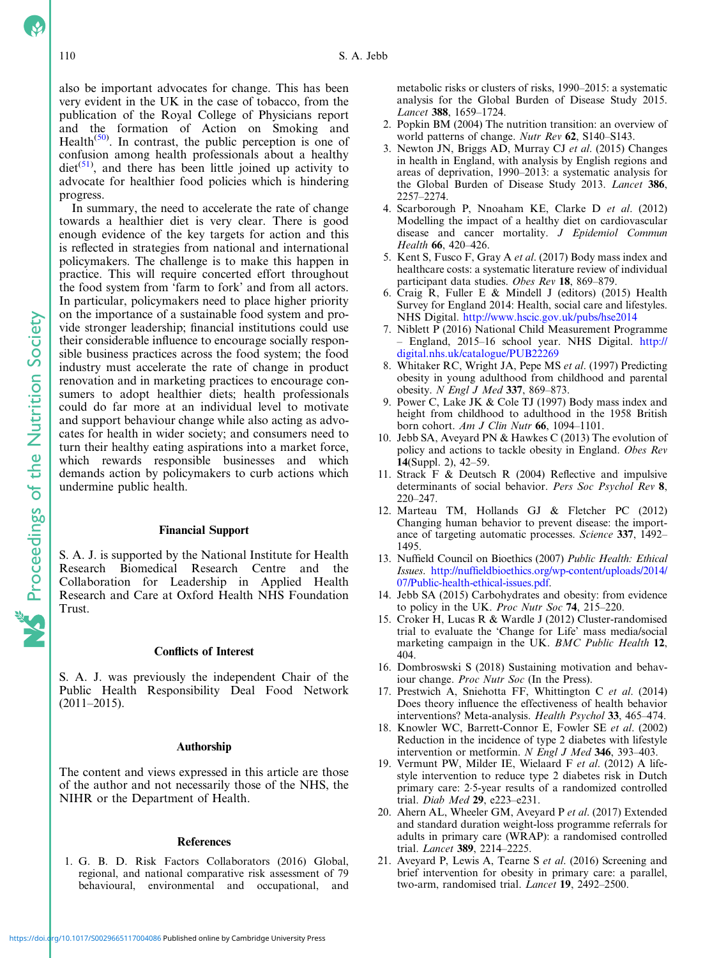<span id="page-4-0"></span>also be important advocates for change. This has been very evident in the UK in the case of tobacco, from the publication of the Royal College of Physicians report and the formation of Action on Smoking and Health<sup>[\(50\)](#page-5-0)</sup>. In contrast, the public perception is one of confusion among health professionals about a healthy diet<sup>[\(51\)](#page-5-0)</sup>, and there has been little joined up activity to advocate for healthier food policies which is hindering progress.

In summary, the need to accelerate the rate of change towards a healthier diet is very clear. There is good enough evidence of the key targets for action and this is reflected in strategies from national and international policymakers. The challenge is to make this happen in practice. This will require concerted effort throughout the food system from 'farm to fork' and from all actors. In particular, policymakers need to place higher priority on the importance of a sustainable food system and provide stronger leadership; financial institutions could use their considerable influence to encourage socially responsible business practices across the food system; the food industry must accelerate the rate of change in product renovation and in marketing practices to encourage consumers to adopt healthier diets; health professionals could do far more at an individual level to motivate and support behaviour change while also acting as advocates for health in wider society; and consumers need to turn their healthy eating aspirations into a market force, which rewards responsible businesses and which demands action by policymakers to curb actions which undermine public health.

## Financial Support

S. A. J. is supported by the National Institute for Health Research Biomedical Research Centre and the Collaboration for Leadership in Applied Health Research and Care at Oxford Health NHS Foundation Trust.

## Conflicts of Interest

S. A. J. was previously the independent Chair of the Public Health Responsibility Deal Food Network (2011–2015).

### Authorship

The content and views expressed in this article are those of the author and not necessarily those of the NHS, the NIHR or the Department of Health.

#### References

1. G. B. D. Risk Factors Collaborators (2016) Global, regional, and national comparative risk assessment of 79 behavioural, environmental and occupational, and metabolic risks or clusters of risks, 1990–2015: a systematic analysis for the Global Burden of Disease Study 2015. Lancet 388, 1659–1724.

- 2. Popkin BM (2004) The nutrition transition: an overview of world patterns of change. Nutr Rev 62, S140-S143.
- 3. Newton JN, Briggs AD, Murray CJ et al. (2015) Changes in health in England, with analysis by English regions and areas of deprivation, 1990–2013: a systematic analysis for the Global Burden of Disease Study 2013. Lancet 386, 2257–2274.
- 4. Scarborough P, Nnoaham KE, Clarke D et al. (2012) Modelling the impact of a healthy diet on cardiovascular disease and cancer mortality. J Epidemiol Commun Health 66, 420–426.
- 5. Kent S, Fusco F, Gray A et al. (2017) Body mass index and healthcare costs: a systematic literature review of individual participant data studies. Obes Rev 18, 869–879.
- 6. Craig R, Fuller E & Mindell J (editors) (2015) Health Survey for England 2014: Health, social care and lifestyles. NHS Digital. <http://www.hscic.gov.uk/pubs/hse2014>
- 7. Niblett P (2016) National Child Measurement Programme – England, 2015–16 school year. NHS Digital. [http://](http://digital.nhs.uk/catalogue/PUB22269) [digital.nhs.uk/catalogue/PUB22269](http://digital.nhs.uk/catalogue/PUB22269)
- 8. Whitaker RC, Wright JA, Pepe MS et al. (1997) Predicting obesity in young adulthood from childhood and parental obesity. N Engl J Med 337, 869–873.
- 9. Power C, Lake JK & Cole TJ (1997) Body mass index and height from childhood to adulthood in the 1958 British born cohort. Am J Clin Nutr 66, 1094–1101.
- 10. Jebb SA, Aveyard PN & Hawkes C (2013) The evolution of policy and actions to tackle obesity in England. Obes Rev 14(Suppl. 2), 42–59.
- 11. Strack F & Deutsch R (2004) Reflective and impulsive determinants of social behavior. Pers Soc Psychol Rev 8, 220–247.
- 12. Marteau TM, Hollands GJ & Fletcher PC (2012) Changing human behavior to prevent disease: the importance of targeting automatic processes. Science 337, 1492– 1495.
- 13. Nuffield Council on Bioethics (2007) Public Health: Ethical Issues. http://nuffi[eldbioethics.org/wp-content/uploads/2014/](http://nuffieldbioethics.org/wp-content/uploads/2014/07/Public-health-ethical-issues.pdf) [07/Public-health-ethical-issues.pdf.](http://nuffieldbioethics.org/wp-content/uploads/2014/07/Public-health-ethical-issues.pdf)
- 14. Jebb SA (2015) Carbohydrates and obesity: from evidence to policy in the UK. Proc Nutr Soc 74, 215–220.
- 15. Croker H, Lucas R & Wardle J (2012) Cluster-randomised trial to evaluate the 'Change for Life' mass media/social marketing campaign in the UK. BMC Public Health 12, 404.
- 16. Dombroswski S (2018) Sustaining motivation and behaviour change. Proc Nutr Soc (In the Press).
- 17. Prestwich A, Sniehotta FF, Whittington C et al. (2014) Does theory influence the effectiveness of health behavior interventions? Meta-analysis. Health Psychol 33, 465–474.
- 18. Knowler WC, Barrett-Connor E, Fowler SE et al. (2002) Reduction in the incidence of type 2 diabetes with lifestyle intervention or metformin. N Engl J Med 346, 393-403.
- 19. Vermunt PW, Milder IE, Wielaard F et al. (2012) A lifestyle intervention to reduce type 2 diabetes risk in Dutch primary care: 2·5-year results of a randomized controlled trial. Diab Med 29, e223–e231.
- 20. Ahern AL, Wheeler GM, Aveyard P et al. (2017) Extended and standard duration weight-loss programme referrals for adults in primary care (WRAP): a randomised controlled trial. Lancet 389, 2214–2225.
- 21. Aveyard P, Lewis A, Tearne S et al. (2016) Screening and brief intervention for obesity in primary care: a parallel, two-arm, randomised trial. Lancet 19, 2492–2500.